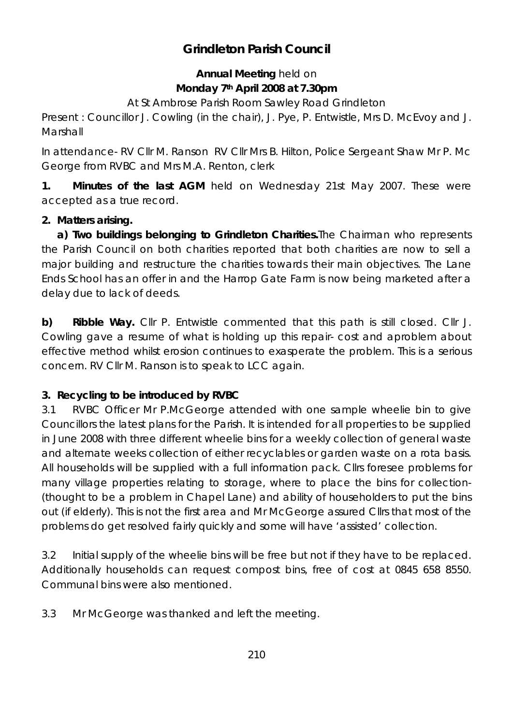# **Grindleton Parish Council**

## **Annual Meeting** held on **Monday 7th April 2008 at 7.30pm**

At St Ambrose Parish Room Sawley Road Grindleton

Present : Councillor J. Cowling (in the chair), J. Pye, P. Entwistle, Mrs D. McEvoy and J. Marshall

In attendance- RV Cllr M. Ranson RV Cllr Mrs B. Hilton, Police Sergeant Shaw Mr P. Mc George from RVBC and Mrs M.A. Renton, clerk

**1. Minutes of the last AGM** held on Wednesday 21st May 2007. These were accepted as a true record.

### **2. Matters arising.**

**a) Two buildings belonging to Grindleton Charities.**The Chairman who represents the Parish Council on both charities reported that both charities are now to sell a major building and restructure the charities towards their main objectives. The Lane Ends School has an offer in and the Harrop Gate Farm is now being marketed after a delay due to lack of deeds.

**b) Ribble Way.** Cllr P. Entwistle commented that this path is still closed. Cllr J. Cowling gave a resume of what is holding up this repair- cost and aproblem about effective method whilst erosion continues to exasperate the problem. This is a serious concern. RV Cllr M. Ranson is to speak to LCC again.

# **3. Recycling to be introduced by RVBC**

3.1 RVBC Officer Mr P.McGeorge attended with one sample wheelie bin to give Councillors the latest plans for the Parish. It is intended for all properties to be supplied in June 2008 with three different wheelie bins for a weekly collection of general waste and alternate weeks collection of either recyclables or garden waste on a rota basis. All households will be supplied with a full information pack. Cllrs foresee problems for many village properties relating to storage, where to place the bins for collection- (thought to be a problem in Chapel Lane) and ability of householders to put the bins out (if elderly). This is not the first area and Mr McGeorge assured Cllrs that most of the problems do get resolved fairly quickly and some will have 'assisted' collection.

3.2 Initial supply of the wheelie bins will be free but not if they have to be replaced. Additionally households can request compost bins, free of cost at 0845 658 8550. Communal bins were also mentioned.

3.3 Mr McGeorge was thanked and left the meeting.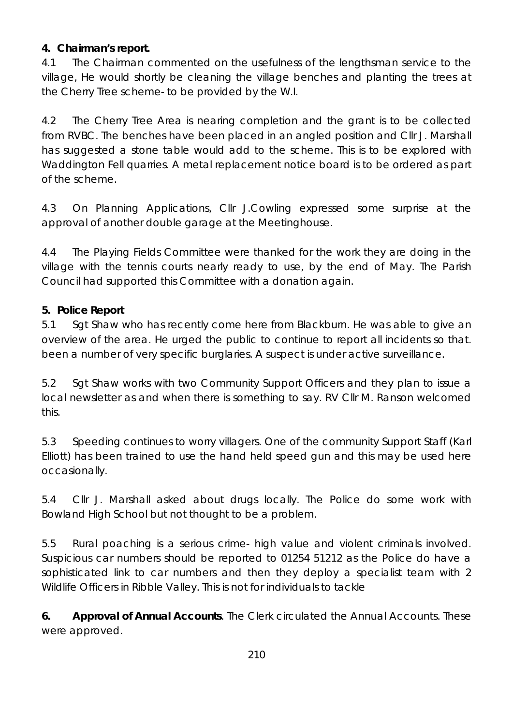### **4. Chairman's report.**

4.1 The Chairman commented on the usefulness of the lengthsman service to the village, He would shortly be cleaning the village benches and planting the trees at the Cherry Tree scheme- to be provided by the W.I.

4.2 The Cherry Tree Area is nearing completion and the grant is to be collected from RVBC. The benches have been placed in an angled position and Cllr J. Marshall has suggested a stone table would add to the scheme. This is to be explored with Waddington Fell quarries. A metal replacement notice board is to be ordered as part of the scheme.

4.3 On Planning Applications, Cllr J.Cowling expressed some surprise at the approval of another double garage at the Meetinghouse.

4.4 The Playing Fields Committee were thanked for the work they are doing in the village with the tennis courts nearly ready to use, by the end of May. The Parish Council had supported this Committee with a donation again.

### **5. Police Report**

5.1 Sgt Shaw who has recently come here from Blackburn. He was able to give an overview of the area. He urged the public to continue to report all incidents so that. been a number of very specific burglaries. A suspect is under active surveillance.

5.2 Sgt Shaw works with two Community Support Officers and they plan to issue a local newsletter as and when there is something to say. RV Cllr M. Ranson welcomed this.

5.3 Speeding continues to worry villagers. One of the community Support Staff (Karl Elliott) has been trained to use the hand held speed gun and this may be used here occasionally.

5.4 Cllr J. Marshall asked about drugs locally. The Police do some work with Bowland High School but not thought to be a problem.

5.5 Rural poaching is a serious crime- high value and violent criminals involved. Suspicious car numbers should be reported to 01254 51212 as the Police do have a sophisticated link to car numbers and then they deploy a specialist team with 2 Wildlife Officers in Ribble Valley. This is not for individuals to tackle

**6. Approval of Annual Accounts**. The Clerk circulated the Annual Accounts. These were approved.